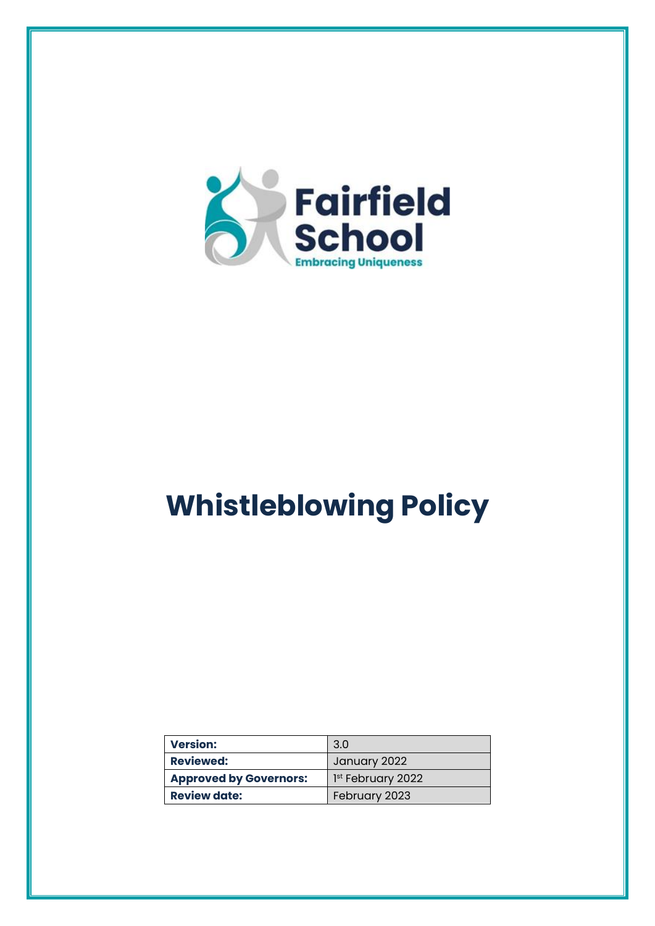

# **Whistleblowing Policy**

| <b>Version:</b>               | 3.0                           |
|-------------------------------|-------------------------------|
| <b>Reviewed:</b>              | January 2022                  |
| <b>Approved by Governors:</b> | 1 <sup>st</sup> February 2022 |
| <b>Review date:</b>           | February 2023                 |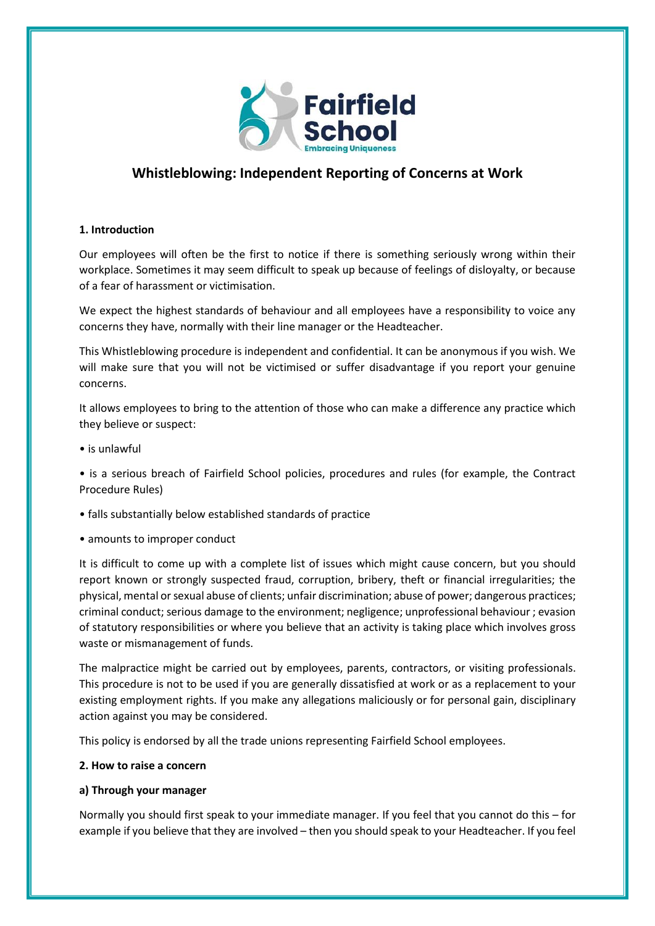

# **Whistleblowing: Independent Reporting of Concerns at Work**

# **1. Introduction**

Our employees will often be the first to notice if there is something seriously wrong within their workplace. Sometimes it may seem difficult to speak up because of feelings of disloyalty, or because of a fear of harassment or victimisation.

We expect the highest standards of behaviour and all employees have a responsibility to voice any concerns they have, normally with their line manager or the Headteacher.

This Whistleblowing procedure is independent and confidential. It can be anonymous if you wish. We will make sure that you will not be victimised or suffer disadvantage if you report your genuine concerns.

It allows employees to bring to the attention of those who can make a difference any practice which they believe or suspect:

• is unlawful

• is a serious breach of Fairfield School policies, procedures and rules (for example, the Contract Procedure Rules)

- falls substantially below established standards of practice
- amounts to improper conduct

It is difficult to come up with a complete list of issues which might cause concern, but you should report known or strongly suspected fraud, corruption, bribery, theft or financial irregularities; the physical, mental or sexual abuse of clients; unfair discrimination; abuse of power; dangerous practices; criminal conduct; serious damage to the environment; negligence; unprofessional behaviour ; evasion of statutory responsibilities or where you believe that an activity is taking place which involves gross waste or mismanagement of funds.

The malpractice might be carried out by employees, parents, contractors, or visiting professionals. This procedure is not to be used if you are generally dissatisfied at work or as a replacement to your existing employment rights. If you make any allegations maliciously or for personal gain, disciplinary action against you may be considered.

This policy is endorsed by all the trade unions representing Fairfield School employees.

# **2. How to raise a concern**

# **a) Through your manager**

Normally you should first speak to your immediate manager. If you feel that you cannot do this – for example if you believe that they are involved – then you should speak to your Headteacher. If you feel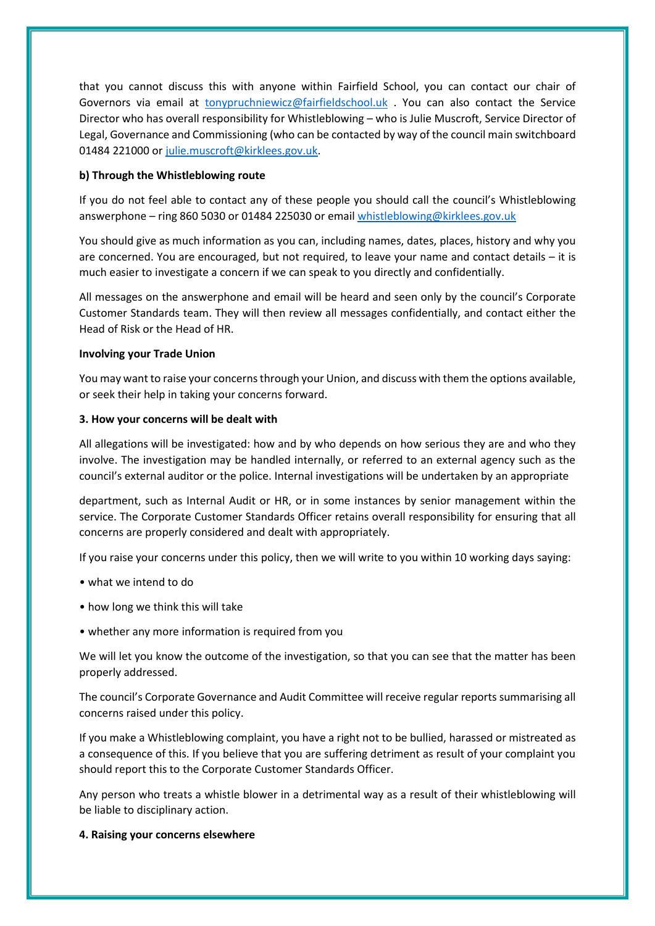that you cannot discuss this with anyone within Fairfield School, you can contact our chair of Governors via email at [tonypruchniewicz@fairfieldschool.uk](mailto:tonypruchniewicz@fairfieldschool.uk) . You can also contact the Service Director who has overall responsibility for Whistleblowing – who is Julie Muscroft, Service Director of Legal, Governance and Commissioning (who can be contacted by way of the council main switchboard 01484 221000 o[r julie.muscroft@kirklees.gov.uk.](mailto:julie.muscroft@kirklees.gov.uk)

#### **b) Through the Whistleblowing route**

If you do not feel able to contact any of these people you should call the council's Whistleblowing answerphone – ring 860 5030 or 01484 225030 or email [whistleblowing@kirklees.gov.uk](mailto:whistleblowing@kirklees.gov.uk)

You should give as much information as you can, including names, dates, places, history and why you are concerned. You are encouraged, but not required, to leave your name and contact details – it is much easier to investigate a concern if we can speak to you directly and confidentially.

All messages on the answerphone and email will be heard and seen only by the council's Corporate Customer Standards team. They will then review all messages confidentially, and contact either the Head of Risk or the Head of HR.

#### **Involving your Trade Union**

You may want to raise your concerns through your Union, and discuss with them the options available, or seek their help in taking your concerns forward.

#### **3. How your concerns will be dealt with**

All allegations will be investigated: how and by who depends on how serious they are and who they involve. The investigation may be handled internally, or referred to an external agency such as the council's external auditor or the police. Internal investigations will be undertaken by an appropriate

department, such as Internal Audit or HR, or in some instances by senior management within the service. The Corporate Customer Standards Officer retains overall responsibility for ensuring that all concerns are properly considered and dealt with appropriately.

If you raise your concerns under this policy, then we will write to you within 10 working days saying:

- what we intend to do
- how long we think this will take
- whether any more information is required from you

We will let you know the outcome of the investigation, so that you can see that the matter has been properly addressed.

The council's Corporate Governance and Audit Committee will receive regular reports summarising all concerns raised under this policy.

If you make a Whistleblowing complaint, you have a right not to be bullied, harassed or mistreated as a consequence of this. If you believe that you are suffering detriment as result of your complaint you should report this to the Corporate Customer Standards Officer.

Any person who treats a whistle blower in a detrimental way as a result of their whistleblowing will be liable to disciplinary action.

#### **4. Raising your concerns elsewhere**